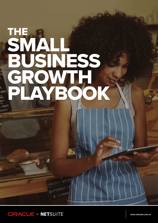## THE SMALL BUSINESS. GROWTH PLAYBOOK



**[www.netsuite.com.au](http://www.netsuite.com.sg)**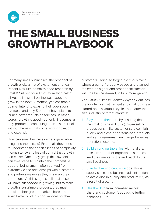**Grab a seat and enjoy.** Read Time: 11 minutes

<span id="page-1-0"></span>

# GROWTH PLAYBOOK

For many small businesses, the prospect of growth elicits a mix of excitement and fear. Recent NetSuite commissioned research by Frost & Sullivan found that more than half of all Australian small businesses expect to grow in the next 12 months, yet less than a quarter intend to expand their operations overseas and only 5 percent have plans to launch new products or services. In other words, growth is good—but only if it comes as a by-product of continuing business as usual, without the risks that come from innovation and expansion.

**EXAMPLE SMALL BUSINESS**<br>
For many and businesses, the progrec of the particles of the system in the control of the system in the control of the system in the control of the system in the control of the system in the cont How can small business owners grow while mitigating these risks? First of all, they need to understand the specific kinds of complexity, inconsistency and loss of control that growth can cause. Once they grasp this, owners can take steps to maintain the competitive edge of being small—often derived from extremely close relationships with customers and partners—even as they scale up their operations. At this stage, small businesses will have succeeded in growing; but to make growth a sustainable process, they must translate their greater market share into even better products and services for their

customers. Doing so forges a virtuous cycle where growth, if properly paced and planned for, creates higher and broader satisfaction with the business—and, in turn, more growth.

*The Small Business Growth Playbook* outlines the four tactics that can get any small business started on this virtuous cycle—no matter their size, industry or target markets:

- 1. Stay true to their core by Ensuring that the small business' USPs (unique selling propositions)—like customer service, high quality and niche or personalised products and services—remain unchanged even as operations expand.
- 2. Build strong partnerships with retailers, resellers and other organisations that can lend their market share and reach to the small business.
- 3. Standardise and centralise operations, supply chain, and business administration to avoid dips in quality and productivity as a result of growth.
- 4. Use the data from increased market share and customer feedback to further enhance USPs.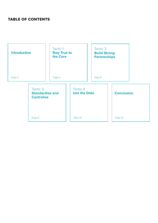#### TABLE OF CONTENTS

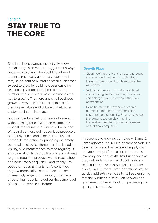## <span id="page-3-0"></span>Tactic **1** STAY TRUE TO THE CORE

Small business owners instinctively know that although size matters, bigger isn't always better—particularly when building a brand that inspires loyalty amongst customers. In fact, 34 percent of Australian small businesses expect to grow by building closer customer relationships, more than three times the number who see overseas expansion as the key to growth. The more any small business grows, however, the harder it is to sustain the unique values and culture that attracted customers in the first place.

Is it possible for small businesses to scale up without losing touch with their customers? Just ask the founders of Emma & Tom's, one of Australia's most well-recognised producers of healthy drinks and snacks. The business earned its reputation by providing extremely personal levels of customer service, including visiting all customers face-to-face regularly. It also took all of its distribution process in-house to guarantee that products would reach shops and consumers as quickly—and freshly—as possible. Yet as Emma & Tom's continued to grow organically, its operations became increasingly large and complex, potentially threatening its ability to deliver the same level of customer service as before.

#### Growth Plays

- Clearly define the brand values and goals that any new investment—technology, infrastructure or product development will achieve.
- Get more from less: trimming overhead and boosting sales to existing customers can enlarge revenues without the risks of expansion.
- Don't be afraid to slow down organic growth if it threatens to compromise customer service quality. Small businesses that expand too quickly may find themselves unable to cope with greater operational complexity.

In response to growing complexity, Emma & Tom's adopted the JCurve edition\* of NetSuite as an end-to-end business and supply chain management platform, using it to track its inventory and fleet of 40 distribution vans as they deliver to more than 3,000 cafés and retail outlets all across Australia. NetSuite also allows Emma & Tom's operations staff to quickly add extra vehicles to its fleet, ensuring that the business' distribution network can grow even further without compromising the quality of its products.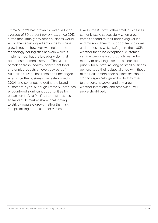Emma & Tom's has grown its revenue by an average of 30 percent *per annum* since 2013, a rate that virtually any other business would envy. The secret ingredient in the business' growth recipe, however, was neither the technology nor logistics network which it implemented, but the broader vision that both these elements served. That vision of making fresh, healthy, convenient food and drink products an everyday part of Australians' lives—has remained unchanged ever since the business was established in 2004, and continues to define the brand in customers' eyes. Although Emma & Tom's has encountered significant opportunities for expansion in Asia Pacific, the business has so far kept its market share local, opting to strictly regulate growth rather than risk compromising core customer values.

Like Emma & Tom's, other small businesses can only scale successfully when growth comes second to their underlying values and mission. They must adopt technologies and processes which safeguard their USPs whether these be exceptional customer service, personalised products, value for money or anything else—as a clear top priority for all staff. As long as small business owners keep their values aligned with those of their customers, their businesses should start to organically grow. Fail to stay true to the core, however, and any growth whether intentional and otherwise—will prove short-lived.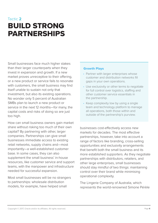## <span id="page-5-0"></span>Tactic **2** BUILD STRONG PARTNERSHIPS

Small businesses face much higher stakes than their larger counterparts when they invest in expansion and growth. If a new market proves unreceptive to their offering, or a new product or service fails to resonate with customers, the small business may find itself unable to sustain not only that investment, but also its existing operations. No wonder only 5 percent of Australian SMBs plan to launch a new product or service in the next 12 months—for many, the capital costs and risks of doing so are just too high.

How can small business owners gain market share without risking too much of their own capital? By partnering with other, larger companies. Partnerships can give small businesses immediate access to existing retail networks, supply chains and—most importantly—a well-established customer base. In some cases, they can also supplement the small business' in-house resources, like customer service and support teams, with the manpower and infrastructure needed for successful expansion.

Most small businesses will be no strangers to partnerships: wholesale distribution models, for example, have helped small

#### Growth Plays

- Partner with larger enterprises whose customer and distribution networks fill gaps in your own operations.
- Use exclusivity or other terms to negotiate for full control over logistics, staffing and other customer service essentials in the partnership.
- Keep complexity low by using a single team and technology platform to manage all operations, both those within and outside of the partnership's purview.

businesses cost-effectively access new markets for decades. The most effective partnerships, however, take into account a range of factors like branding, cross-selling opportunities and exclusivity arrangements that benefit both the small business and its more established supporters. As they negotiate partnerships with distributors, retailers, and other large enterprises, small businesses should stay mindful of two things: maintaining control over their brand while minimising operational complexity.

The Lingerie Company of Australia, which represents the world-renowned Simone Pérèle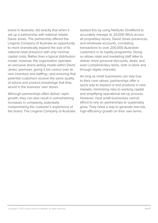brand in Australia, did exactly that when it set up a partnership with national retailer David Jones. The partnership offered the Lingerie Company of Australia an opportunity to more dramatically expand the size of its national retail presence with only minimal capital costs. Rather than a typical distribution model, however, the organisation operates an exclusive direct-selling model within David Jones' premises, giving it full control over its own inventory and staffing—and ensuring that potential customers receive the same quality of advice and product knowledge that they would in the business' own stores.

Although partnerships often deliver rapid growth, they can also result in overwhelming increases in complexity, potentially compromising the customer's experience of the brand. The Lingerie Company of Australia tackled this by using NetSuite OneWorld to accurately manage its 20,000 SKUs across all proprietary stores, David Jones presences, and wholesale accounts, correlating transactions to over 200,000 Australian customers in its loyalty programme. Doing so allows retail and marketing staff alike to deliver more personal discounts, deals, and even complimentary items, both in-store and through digital channels.

As long as small businesses can stay true to their core values, partnerships offer a quick way to expand or test products in new markets, minimising risks to working capital and simplifying operational set-up process. However, most small businesses cannot afford to rely on partnerships to sustainably grow. They need a way to generate low-risk, high-efficiency growth on their own terms.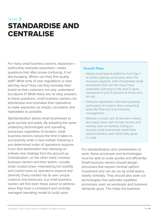## <span id="page-7-0"></span>Tactic **3** STANDARDISE AND **CENTRALISE**

For many small business owners, expansion particularly overseas expansion—raises questions that often prove confusing, if not discouraging. Where can they find quality staff? What sorts of new regulations or laws will they face? How can they translate their brand so that customers not only understand but desire it? While there are no easy answers to these questions, small business owners *can* standardise and centralise their operations to make expansion as simple, consistent, and repeatable as possible.

Standardisation allows small businesses to grow quickly and easily. By adopting the same underlying technologies and operating processes regardless of location, small business owners reduce the time it takes to successfully enter a new market: following a pre-determined order of operations requires much less deliberation than devising an entirely new strategy from the ground up. Centralisation, on the other hand, involves business owners and their teams—usually small, trusted ones—maintaining full visibility and control even as operations expand and diversify. Every market has its own unique nuances and pressures, but small business owners will find even these easier to address when they have a consistent and centrallymanaged operating model to build upon.

## to avoid capacity constraints when the

Growth Plays

business expands. Half of Australian small businesses that use the cloud have expanded overseas in the past 5 years, compared to just 13 percent of those who do not.

• Adopt cloud-based platforms from Day 1

- Embrace automation wherever possible, particularly for routine, time-consuming tasks like financial and inventory management.
- Maintain a small core of decision-makers and equip them with remote access and visibility over all markets. Doing so ensures small businesses retain their responsiveness even when they grow in scale.

For standardisation and centralisation to work, these processes and technologies must be able to scale quickly and efficiently. Small business owners should design processes that require minimal upfront investment and can be run by small teams, ideally remotely. They should also seek out technologies that automate repetitive processes, even as workloads and business demands grow. This helps the business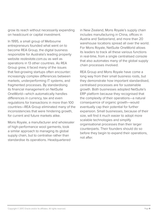grow its reach without necessarily expanding on headcount or capital investment.

In 1995, a small group of Melbourne entrepreneurs founded what went on to become REA Group, the digital business responsible for Australia's leading property website *realestate.com.au* as well as operations in 13 other countries. As REA Group grew, it faced many of the issues that fast-growing startups often encounter: increasingly complex differences between markets, underperforming IT systems, and fragmented processes. By standardising its financial management on NetSuite OneWorld—which automatically handles differences in currency, tax and even regulations for transactions in more than 100 countries—REA Group eliminated many of the inconsistencies that were hindering growth, for current and future markets alike.

Mons Royale, a manufacturer and wholesaler of high-performance wool garments, took a similar approach to managing its global supply chain, but to centralise rather than standardise its operations. Headquartered

in New Zealand, Mons Royale's supply chain includes manufacturing in China, offices in Austria and Switzerland, and more than 20 warehouse locations spread all over the world. For Mons Royale, NetSuite OneWorld allows its leaders to track all these various functions in real-time, from a single centralised console that also automates many of the global supply chain processes involved.

REA Group and Mons Royale have come a long way from their small business roots, but they demonstrate how important standardised, centralised processes are for sustainable growth. Both businesses adopted NetSuite's ERP platform because they recognised that the complexity of their operations—a natural consequence of organic growth—would eventually cap their potential for further expansion. Small businesses, because of their size, will find it much easier to adopt more scalable technologies and simplify organisational processes than their larger counterparts. Their founders should do so before they begin to expand their operations, not after.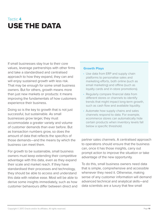## <span id="page-9-0"></span>Tactic **4** USE THE DATA

If small businesses stay true to their core values, leverage partnerships with other firms and take a standardised and centralised approach to how they expand, they can and will enjoy sustained growth with less risk. That may be enough for some small business owners. But for others, growth means more than just new markets or products: it means improving the fundamentals of how customers experience their business.

Doing so is the key to growth that is not just successful, but sustainable. As small businesses grow larger, they must accommodate a greater variety and volume of customer demands than ever before. But as transaction numbers grow, so does the amount of data that reflects the specifics of those demands—and the means by which the business can meet them.

For growth to be sustainable, small business owners must keep extending their competitive advantage with this data, even as they expand their scale and market reach. If they have standardised their processes and technology, they should be able to access and understand this data with relative ease. Most will be able to derive some insights immediately, such as how customer behaviours differ between direct and

#### Growth Plays

- Use data from ERP and supply chain platforms to personalise sales and marketing efforts, both online (such as email marketing) and offline (such as loyalty cards and in-store promotions).
- Regularly compare financial data from different stores or channels to identify trends that might impact long-term growth, such as cash flow and available liquidity.
- Automate how supply chains and sales channels respond to data. For example, ecommerce stores can automatically hide certain products when inventory levels fall below a specific threshold.

partner sales channels. A centralised approach to operations should ensure that the business can, once it has those insights, carry out prompt action to improve the situation or take advantage of the new opportunity.

To do this, small business owners need data that is simple, comprehensive and accessible whenever they need it. Otherwise, making sense of any customer information will demand advanced technical and analytical skills—and data scientists are a luxury that few small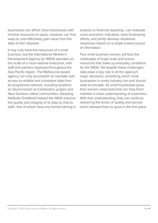businesses can afford. Even businesses with minimal resources to spare, however, can find ways to cost-effectively gain value from the data at their disposal.

It may only have the resources of a small business, but the International Women's Development Agency (or IWDA) operates on the scale of a multi-national enterprise, with staff and partners deployed throughout the Asia Pacific region. The Melbourne-based agency can only accomplish its mandate with access to reliable and consistent data from its programme network, including locations as disconnected as Cambodia's jungles and New Guinea's native communities. Adopting NetSuite OneWorld helped the IWDA improve the quality and integrity of its data so that its staff—few of whom have any formal training in

analysis or financial reporting—can evaluate socio-economic indicators, track fundraising efforts, and jointly develop situational responses based on a single trusted source of information.

Few small business owners will face the challenges of huge scale and scarce resources that make up everyday conditions for the IWDA. Yet despite these challenges, data plays a key role in all the agency's major decisions, something which small businesses in every industry can and should seek to emulate. As small businesses grow, their owners need tools that can help them maintain a close understanding of customers. With that understanding, they can continue delivering the levels of quality and service which allowed them to grow in the first place.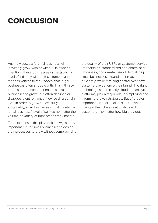## <span id="page-11-0"></span>**CONCLUSION**

Any truly successful small business will inevitably grow, with or without its owner's intention. These businesses can establish a level of intimacy with their customers, and a responsiveness to their needs, that larger businesses often struggle with. This intimacy creates the demand that enables small businesses to grow—but often declines or disappears entirely once they reach a certain size. In order to grow successfully and sustainably, small businesses must maintain a "small business" level of service no matter the volume or variety of transactions they handle.

The examples in this playbook show just how important it is for small businesses to design their processes to grow without compromising the quality of their USPs or customer service. Partnerships, standardised and centralised processes, and greater use of data all help small businesses expand their reach efficiently, while retaining control over how customers experience their brand. The right technologies, particularly cloud and analytics platforms, play a major role in simplifying and informing growth strategies. But of greater importance is that small business owners maintain their close relationships with customers—no matter how big they get.